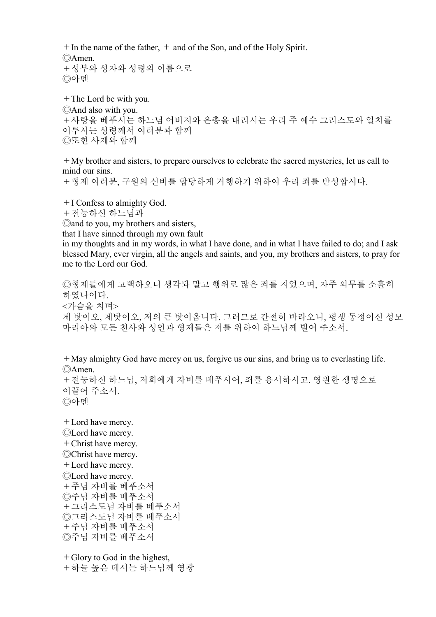$+$  In the name of the father,  $+$  and of the Son, and of the Holy Spirit. ◎Amen. +성부와 성자와 성령의 이름으로

◎아멘

+The Lord be with you. ◎And also with you. +사랑을 베푸시는 하느님 어버지와 은총을 내리시는 우리 주 예수 그리스도와 일치를 이루시는 성령께서 여러분과 함께 ◎또한 사제와 함께

+My brother and sisters, to prepare ourselves to celebrate the sacred mysteries, let us call to mind our sins.

+형제 여러분, 구원의 신비를 합당하게 거행하기 위하여 우리 죄를 반성합시다.

+I Confess to almighty God. +전능하신 하느님과 ◎and to you, my brothers and sisters,

that I have sinned through my own fault

in my thoughts and in my words, in what I have done, and in what I have failed to do; and I ask blessed Mary, ever virgin, all the angels and saints, and you, my brothers and sisters, to pray for me to the Lord our God.

◎형제들에게 고백하오니 생각돠 말고 행위로 많은 죄를 지었으며, 자주 의무를 소홀히 하였나이다. <가슴을 치며> 제 탓이오, 제탓이오, 저의 큰 탓이옵니다. 그러므로 간절히 바라오니, 평생 동정이신 성모 마리아와 모든 천사와 성인과 형제들은 저를 위하여 하느님께 빌어 주소서.

+May almighty God have mercy on us, forgive us our sins, and bring us to everlasting life. ◎Amen. +전능하신 하느님, 저희에게 자비를 베푸시어, 죄를 용서하시고, 영원한 생명으로 이끌어 주소서. ◎아멘

+Lord have mercy. ◎Lord have mercy. +Christ have mercy. ◎Christ have mercy. +Lord have mercy. ◎Lord have mercy. +주님 자비를 베푸소서 ◎주님 자비를 베푸소서 +그리스도님 자비를 베푸소서 ◎그리스도님 자비를 베푸소서 +주님 자비를 베푸소서 ◎주님 자비를 베푸소서

+Glory to God in the highest, +하늘 높은 데서는 하느님께 영광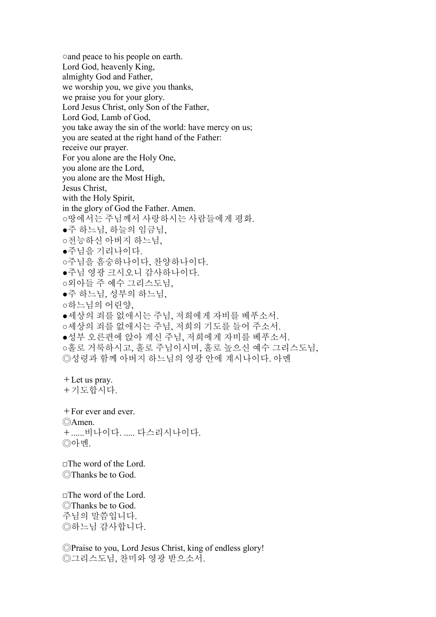○and peace to his people on earth. Lord God, heavenly King, almighty God and Father, we worship you, we give you thanks, we praise you for your glory. Lord Jesus Christ, only Son of the Father, Lord God, Lamb of God, you take away the sin of the world: have mercy on us; you are seated at the right hand of the Father: receive our prayer. For you alone are the Holy One, you alone are the Lord, you alone are the Most High, Jesus Christ, with the Holy Spirit, in the glory of God the Father. Amen. ○땅에서는 주님께서 사랑하시는 사람들에게 평화. ●주 하느님, 하늘의 임금님, ○전능하신 아버지 하느님, ●주님을 기리나이다. ○주님을 흠숭하나이다, 찬양하나이다. ●주님 영광 크시오니 감사하나이다. ○외아들 주 예수 그리스도님, ●주 하느님, 성부의 하느님, ○하느님의 어린양, ●세상의 죄를 없애시는 주님, 저희에게 자비를 베푸소서. ○세상의 죄를 없애시는 주님, 저희의 기도를 들어 주소서. ●성부 오른편에 앉아 계신 주님, 저희에게 자비를 베푸소서. ○홀로 거룩하시고, 홀로 주님이시며, 홀로 높으신 예수 그리스도님, ◎성령과 함께 아버지 하느님의 영광 안에 계시나이다. 아멘 +Let us pray. +기도합시다. +For ever and ever. ◎Amen. +......비나이다. ..... 다스리시나이다. ◎아멘.  $\Box$ The word of the Lord. ◎Thanks be to God.  $\Box$ The word of the Lord. ◎Thanks be to God. 주님의 말씀입니다. ◎하느님 감사합니다.

◎Praise to you, Lord Jesus Christ, king of endless glory! ◎그리스도님, 찬미와 영광 받으소서.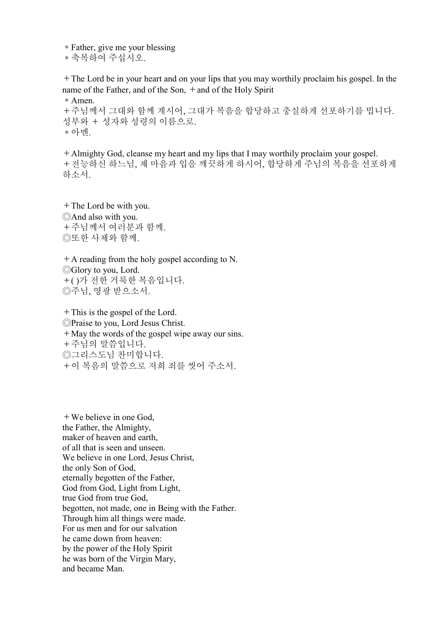\*Father, give me your blessing \*축복하여 주십시오.

+The Lord be in your heart and on your lips that you may worthily proclaim his gospel. In the name of the Father, and of the Son, +and of the Holy Spirit

\*Amen. +주님께서 그대와 함께 계시어, 그대가 복음을 합당하고 충실하게 선포하기를 빕니다. 성부와 + 성자와 성령의 이름으로. \*아멘.

+Almighty God, cleanse my heart and my lips that I may worthily proclaim your gospel. +전능하신 하느님, 제 마음과 입을 깨끗하게 하시어, 합당하게 주님의 복음을 선포하게 하소서.

+The Lord be with you. ◎And also with you. +주님께서 여러분과 함께. ◎또한 사제와 함께.

+A reading from the holy gospel according to N. ◎Glory to you, Lord. +( )가 전한 거룩한 복음입니다. ◎주님, 영광 받으소서.

+This is the gospel of the Lord. ◎Praise to you, Lord Jesus Christ. +May the words of the gospel wipe away our sins. +주님의 말씀입니다. ◎그리스도님 찬미합니다. +이 복음의 말씀으로 저희 죄를 씻어 주소서.

+We believe in one God, the Father, the Almighty, maker of heaven and earth, of all that is seen and unseen. We believe in one Lord, Jesus Christ, the only Son of God, eternally begotten of the Father, God from God, Light from Light, true God from true God, begotten, not made, one in Being with the Father. Through him all things were made. For us men and for our salvation he came down from heaven: by the power of the Holy Spirit he was born of the Virgin Mary, and became Man.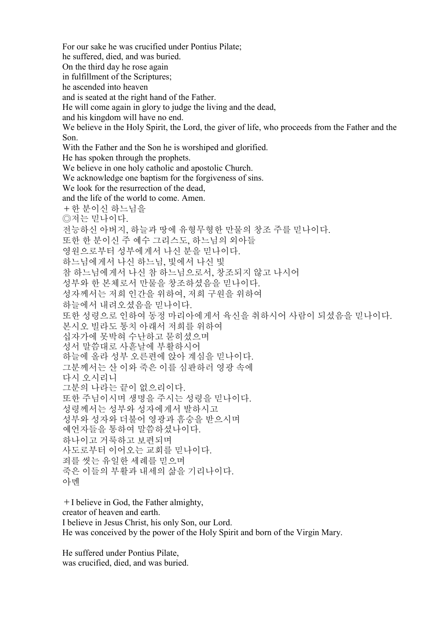For our sake he was crucified under Pontius Pilate; he suffered, died, and was buried. On the third day he rose again in fulfillment of the Scriptures; he ascended into heaven and is seated at the right hand of the Father. He will come again in glory to judge the living and the dead, and his kingdom will have no end. We believe in the Holy Spirit, the Lord, the giver of life, who proceeds from the Father and the Son. With the Father and the Son he is worshiped and glorified. He has spoken through the prophets. We believe in one holy catholic and apostolic Church. We acknowledge one baptism for the forgiveness of sins. We look for the resurrection of the dead, and the life of the world to come. Amen. +한 분이신 하느님을 ◎저는 믿나이다. 전능하신 아버지, 하늘과 땅에 유형무형한 만물의 창조 주를 믿나이다. 또한 한 분이신 주 예수 그리스도, 하느님의 외아들 영원으로부터 성부에게서 나신 분을 믿나이다. 하느님에게서 나신 하느님, 빛에서 나신 빛 참 하느님에게서 나신 참 하느님으로서, 창조되지 않고 나시어 성부와 한 본체로서 만물을 창조하셨음을 믿나이다. 성자께서는 저희 인간을 위하여, 저희 구원을 위하여 하늘에서 내려오셨음을 믿나이다. 또한 성령으로 인하여 동정 마리아에게서 육신을 취하시어 사람이 되셨음을 믿나이다. 본시오 빌라도 통치 아래서 저희를 위하여 십자가에 못박혀 수난하고 묻히셨으며 성서 말씀대로 사흗날에 부활하시어 하늘에 올라 성부 오른편에 앉아 계심을 믿나이다. 그분께서는 산 이와 죽은 이를 심판하러 영광 속에 다시 오시리니 그분의 나라는 끝이 없으리이다. 또한 주님이시며 생명을 주시는 성령을 믿나이다. 성령께서는 성부와 성자에게서 발하시고 성부와 성자와 더불어 영광과 흠숭을 받으시며 예언자들을 통하여 말씀하셨나이다. 하나이고 거룩하고 보편되며 사도로부터 이어오는 교회를 믿나이다. 죄를 씻는 유일한 세례를 믿으며 죽은 이들의 부활과 내세의 삶을 기리나이다. 아멘

+I believe in God, the Father almighty, creator of heaven and earth. I believe in Jesus Christ, his only Son, our Lord. He was conceived by the power of the Holy Spirit and born of the Virgin Mary.

He suffered under Pontius Pilate, was crucified, died, and was buried.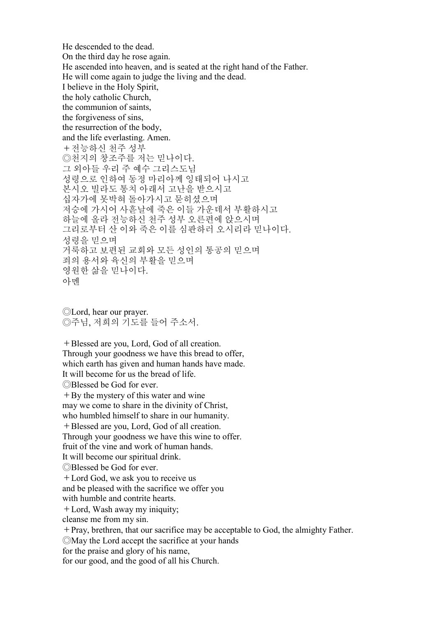He descended to the dead. On the third day he rose again. He ascended into heaven, and is seated at the right hand of the Father. He will come again to judge the living and the dead. I believe in the Holy Spirit, the holy catholic Church, the communion of saints, the forgiveness of sins, the resurrection of the body, and the life everlasting. Amen. +전능하신 천주 성부 ◎천지의 창조주를 저는 믿나이다. 그 외아들 우리 주 예수 그리스도님 성령으로 인하여 동정 마리아께 잉태되어 나시고 본시오 빌라도 통치 아래서 고난을 받으시고 십자가에 못박혀 돌아가시고 묻히셨으며 저승에 가시어 사흗날에 죽은 이들 가운데서 부활하시고 하늘에 올라 전능하신 천주 성부 오른편에 앉으시며 그리로부터 산 이와 죽은 이를 심판하러 오시리라 믿나이다. 성령을 믿으며 거룩하고 보편된 교회와 모든 성인의 통공의 믿으며 죄의 용서와 육신의 부활을 믿으며 영원한 삶을 믿나이다. 아멘

◎Lord, hear our prayer. ◎주님, 저희의 기도를 들어 주소서.

+Blessed are you, Lord, God of all creation. Through your goodness we have this bread to offer, which earth has given and human hands have made. It will become for us the bread of life. ◎Blessed be God for ever.

+By the mystery of this water and wine may we come to share in the divinity of Christ,

who humbled himself to share in our humanity.

+Blessed are you, Lord, God of all creation.

Through your goodness we have this wine to offer.

fruit of the vine and work of human hands.

It will become our spiritual drink.

◎Blessed be God for ever.

+Lord God, we ask you to receive us and be pleased with the sacrifice we offer you with humble and contrite hearts.

+Lord, Wash away my iniquity;

cleanse me from my sin.

+Pray, brethren, that our sacrifice may be acceptable to God, the almighty Father.

◎May the Lord accept the sacrifice at your hands

for the praise and glory of his name,

for our good, and the good of all his Church.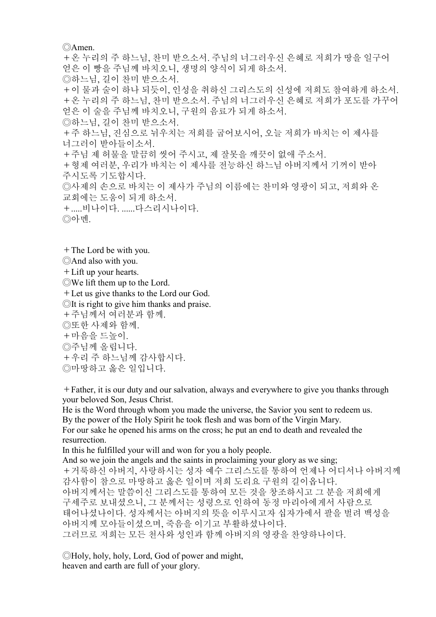◎Amen.

+온 누리의 주 하느님, 찬미 받으소서. 주님의 너그러우신 은혜로 저희가 땅을 일구어 얻은 이 빵을 주님께 바치오니, 생명의 양식이 되게 하소서. ◎하느님, 길이 찬미 받으소서. +이 물과 술이 하나 되듯이, 인성을 취하신 그리스도의 신성에 저희도 참여하게 하소서. +온 누리의 주 하느님, 찬미 받으소서. 주님의 너그러우신 은혜로 저희가 포도를 가꾸어 얻은 이 술을 주님께 바치오니, 구원의 음료가 되게 하소서. ◎하느님, 길이 찬미 받으소서. +주 하느님, 진심으로 뉘우치는 저희를 굽어보시어, 오늘 저희가 바치는 이 제사를 너그러이 받아들이소서. +주님 제 허물을 말끔히 씻어 주시고, 제 잘못을 깨끗이 없애 주소서. +형제 여러분, 우리가 바치는 이 제사를 전능하신 하느님 아버지께서 기꺼이 받아 주시도록 기도합시다. ◎사제의 손으로 바치는 이 제사가 주님의 이름에는 찬미와 영광이 되고, 저희와 온 교회에는 도움이 되게 하소서. +.....비나이다. ......다스리시나이다. ◎아멘. +The Lord be with you.

◎And also with you.

+Lift up your hearts.

◎We lift them up to the Lord.

+Let us give thanks to the Lord our God.

◎It is right to give him thanks and praise.

- +주님께서 여러분과 함께.
- ◎또한 사제와 함께.
- +마음을 드높이.

◎주님께 올립니다.

+우리 주 하느님께 감사합시다.

◎마땅하고 옳은 일입니다.

+Father, it is our duty and our salvation, always and everywhere to give you thanks through your beloved Son, Jesus Christ.

He is the Word through whom you made the universe, the Savior you sent to redeem us. By the power of the Holy Spirit he took flesh and was born of the Virgin Mary.

For our sake he opened his arms on the cross; he put an end to death and revealed the resurrection.

In this he fulfilled your will and won for you a holy people.

And so we join the angels and the saints in proclaiming your glory as we sing; +거룩하신 아버지, 사랑하시는 성자 예수 그리스도를 통하여 언제나 어디서나 아버지께 감사함이 참으로 마땅하고 옳은 일이며 저희 도리요 구원의 길이옵니다. 아버지께서는 말씀이신 그리스도를 통하여 모든 것을 창조하시고 그 분을 저희에게 구세주로 보내셨으니, 그 분께서는 성령으로 인하여 동정 마리아에게서 사람으로 태어나셨나이다. 성자께서는 아버지의 뜻을 이루시고자 십자가에서 팔을 벌려 백성을 아버지께 모아들이셨으며, 죽음을 이기고 부활하셨나이다. 그러므로 저희는 모든 천사와 성인과 함께 아버지의 영광을 찬양하나이다.

◎Holy, holy, holy, Lord, God of power and might, heaven and earth are full of your glory.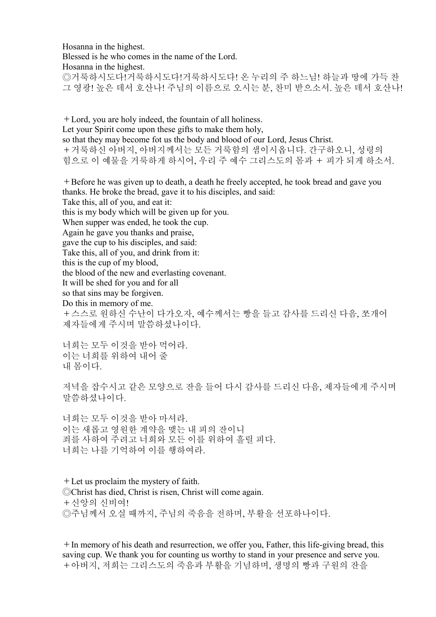Hosanna in the highest.

Blessed is he who comes in the name of the Lord.

Hosanna in the highest.

◎거룩하시도다!거룩하시도다!거룩하시도다! 온 누리의 주 하느님! 하늘과 땅에 가득 찬 그 영광! 높은 데서 호산나! 주님의 이름으로 오시는 분, 찬미 받으소서. 높은 데서 호산나!

+Lord, you are holy indeed, the fountain of all holiness. Let your Spirit come upon these gifts to make them holy, so that they may become fot us the body and blood of our Lord, Jesus Christ. +거룩하신 아버지, 아버지께서는 모든 거룩함의 샘이시옵니다. 간구하오니, 성령의 힘으로 이 예물을 거룩하게 하시어, 우리 주 예수 그리스도의 몸과 + 피가 되게 하소서.

+Before he was given up to death, a death he freely accepted, he took bread and gave you thanks. He broke the bread, gave it to his disciples, and said: Take this, all of you, and eat it: this is my body which will be given up for you. When supper was ended, he took the cup. Again he gave you thanks and praise, gave the cup to his disciples, and said: Take this, all of you, and drink from it: this is the cup of my blood, the blood of the new and everlasting covenant. It will be shed for you and for all so that sins may be forgiven. Do this in memory of me. +스스로 원하신 수난이 다가오자, 예수께서는 빵을 들고 감사를 드리신 다음, 쪼개어 제자들에게 주시며 말씀하셨나이다.

너희는 모두 이것을 받아 먹어라. 이는 너희를 위하여 내어 줄 내 몸이다.

저녁을 잡수시고 같은 모양으로 잔을 들어 다시 감사를 드리신 다음, 제자들에게 주시며 말씀하셨나이다.

너희는 모두 이것을 받아 마셔라. 이는 새롭고 영원한 계약을 맺는 내 피의 잔이니 죄를 사하여 주려고 너희와 모든 이를 위하여 흘릴 피다. 너희는 나를 기억하여 이를 행하여라.

+Let us proclaim the mystery of faith. ◎Christ has died, Christ is risen, Christ will come again. +신앙의 신비여! ◎주님께서 오실 때까지, 주님의 죽음을 전하며, 부활을 선포하나이다.

 $+$  In memory of his death and resurrection, we offer you, Father, this life-giving bread, this saving cup. We thank you for counting us worthy to stand in your presence and serve you. +아버지, 저희는 그리스도의 죽음과 부활을 기념하며, 생명의 빵과 구원의 잔을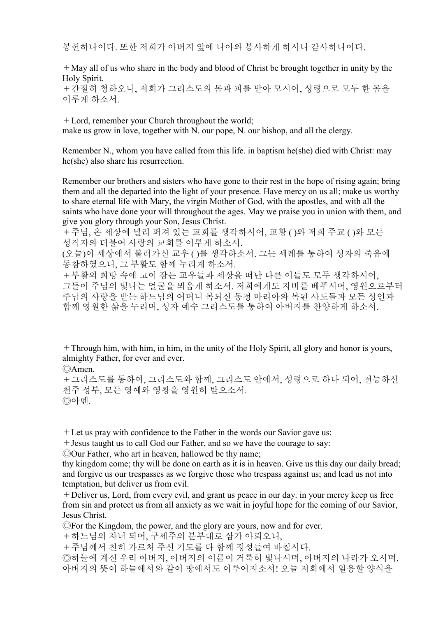봉헌하나이다. 또한 저희가 아버지 앞에 나아와 봉사하게 하시니 감사하나이다.

+May all of us who share in the body and blood of Christ be brought together in unity by the Holy Spirit.

+간절히 청하오니, 저희가 그리스도의 몸과 피를 받아 모시어, 성령으로 모두 한 몸을 이루게 하소서.

+Lord, remember your Church throughout the world; make us grow in love, together with N. our pope, N. our bishop, and all the clergy.

Remember N., whom you have called from this life. in baptism he(she) died with Christ: may he(she) also share his resurrection.

Remember our brothers and sisters who have gone to their rest in the hope of rising again; bring them and all the departed into the light of your presence. Have mercy on us all; make us worthy to share eternal life with Mary, the virgin Mother of God, with the apostles, and with all the saints who have done your will throughout the ages. May we praise you in union with them, and give you glory through your Son, Jesus Christ.

+주님, 온 세상에 널리 퍼져 있는 교회를 생각하시어, 교황 ( )와 저희 주교 ( )와 모든 성직자와 더불어 사랑의 교회를 이루게 하소서.

(오늘)이 세상에서 불러가신 교우 ( )를 생각하소서. 그는 세례를 통하여 성자의 죽음에 동참하였으니, 그 부활도 함께 누리게 하소서.

+부활의 희망 속에 고이 잠든 교우들과 세상을 떠난 다른 이들도 모두 생각하시어, 그들이 주님의 빛나는 얼굴을 뵈옵게 하소서. 저희에게도 자비를 베푸시어, 영원으로부터 주님의 사랑을 받는 하느님의 어머니 복되신 동정 마리아와 복된 사도들과 모든 성인과 함께 영원한 삶을 누리며, 성자 예수 그리스도를 통하여 아버지를 찬양하게 하소서.

+Through him, with him, in him, in the unity of the Holy Spirit, all glory and honor is yours, almighty Father, for ever and ever.

◎Amen.

+그리스도를 통하여, 그리스도와 함께, 그리스도 안에서, 성령으로 하나 되어, 전능하신 천주 성부, 모든 영예와 영광을 영원히 받으소서. ◎아멘.

+Let us pray with confidence to the Father in the words our Savior gave us:

+Jesus taught us to call God our Father, and so we have the courage to say:

◎Our Father, who art in heaven, hallowed be thy name;

thy kingdom come; thy will be done on earth as it is in heaven. Give us this day our daily bread; and forgive us our trespasses as we forgive those who trespass against us; and lead us not into temptation, but deliver us from evil.

+Deliver us, Lord, from every evil, and grant us peace in our day. in your mercy keep us free from sin and protect us from all anxiety as we wait in joyful hope for the coming of our Savior, Jesus Christ.

◎For the Kingdom, the power, and the glory are yours, now and for ever.

+하느님의 자녀 되어, 구세주의 분부대로 삼가 아뢰오니,

+주님께서 친히 가르쳐 주신 기도를 다 함께 정성들여 바칩시다.

◎하늘에 계신 우리 아버지, 아버지의 이름이 거룩히 빛나시며, 아버지의 나라가 오시며, 아버지의 뜻이 하늘에서와 같이 땅에서도 이루어지소서! 오늘 저희에서 일용할 양식을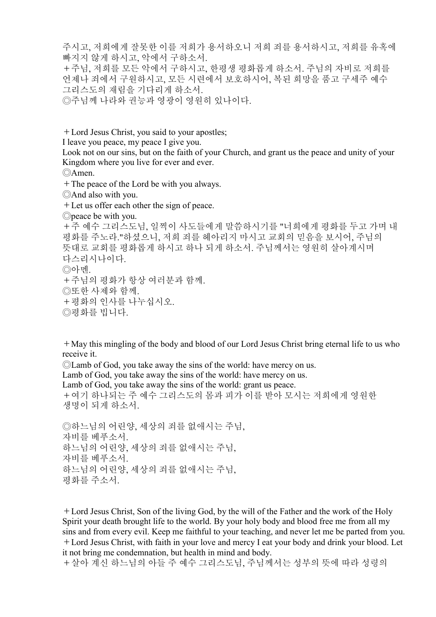주시고, 저희에게 잘못한 이를 저희가 용서하오니 저희 죄를 용서하시고, 저희를 유혹에 빠지지 않게 하시고, 악에서 구하소서.

+주님, 저희를 모든 악에서 구하시고, 한평생 평화롭게 하소서. 주님의 자비로 저희를 언제나 죄에서 구원하시고, 모든 시련에서 보호하시어, 복된 희망을 품고 구세주 예수 그리스도의 재림을 기다리게 하소서.

◎주님께 나라와 권능과 영광이 영원히 있나이다.

+Lord Jesus Christ, you said to your apostles;

I leave you peace, my peace I give you.

Look not on our sins, but on the faith of your Church, and grant us the peace and unity of your Kingdom where you live for ever and ever.

◎Amen.

+The peace of the Lord be with you always.

◎And also with you.

+Let us offer each other the sign of peace.

◎peace be with you.

```
+주 예수 그리스도님, 일찍이 사도들에게 말씀하시기를 "너희에게 평화를 두고 가며 내
평화를 주노라."하셨으니, 저희 죄를 헤아리지 마시고 교회의 믿음을 보시어, 주님의
뜻대로 교회를 평화롭게 하시고 하나 되게 하소서. 주님께서는 영원히 살아계시며
다스리시나이다.
◎아멘.
+주님의 평화가 항상 여러분과 함께.
◎또한 사제와 함께.
+평화의 인사를 나누십시오.
◎평화를 빕니다.
```
+May this mingling of the body and blood of our Lord Jesus Christ bring eternal life to us who receive it.

◎Lamb of God, you take away the sins of the world: have mercy on us. Lamb of God, you take away the sins of the world: have mercy on us. Lamb of God, you take away the sins of the world: grant us peace. +여기 하나되는 주 예수 그리스도의 몸과 피가 이를 받아 모시는 저희에게 영원한 생명이 되게 하소서.

◎하느님의 어린양, 세상의 죄를 없애시는 주님, 자비를 베푸소서. 하느님의 어린양, 세상의 죄를 없애시는 주님, 자비를 베푸소서. 하느님의 어린양, 세상의 죄를 없애시는 주님, 평화를 주소서.

+Lord Jesus Christ, Son of the living God, by the will of the Father and the work of the Holy Spirit your death brought life to the world. By your holy body and blood free me from all my sins and from every evil. Keep me faithful to your teaching, and never let me be parted from you. +Lord Jesus Christ, with faith in your love and mercy I eat your body and drink your blood. Let it not bring me condemnation, but health in mind and body.

+살아 계신 하느님의 아들 주 예수 그리스도님, 주님께서는 성부의 뜻에 따라 성령의